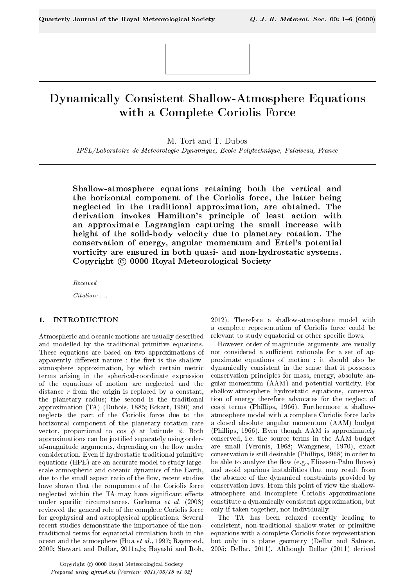# Dynamically Consistent Shallow-Atmosphere Equations with a Complete Coriolis Force

M. Tort and T. Dubos

IPSL/Laboratoire de Meteorologie Dynamique, Ecole Polytechnique, Palaiseau, France

Shallow-atmosphere equations retaining both the vertical and the horizontal component of the Coriolis force, the latter being neglected in the traditional approximation, are obtained. The derivation invokes Hamilton's principle of least action with an approximate Lagrangian capturing the small increase with height of the solid-body velocity due to planetary rotation. The conservation of energy, angular momentum and Ertel's potential vorticity are ensured in both quasi- and non-hydrostatic systems. Copyright © 0000 Royal Meteorological Society

Received

Citation: ...

# 1. INTRODUCTION

Atmospheric and oceanic motions are usually described and modelled by the traditional primitive equations. These equations are based on two approximations of apparently different nature : the first is the shallowatmosphere approximation, by which certain metric terms arising in the spherical-coordinate expression of the equations of motion are neglected and the distance  $r$  from the origin is replaced by a constant, the planetary radius; the second is the traditional approximation (TA) (Dubois, 1885; Eckart, 1960) and neglects the part of the Coriolis force due to the horizontal component of the planetary rotation rate vector, proportional to cos  $\phi$  at latitude  $\phi$ . Both approximations can be justied separately using orderof-magnitude arguments, depending on the flow under consideration. Even if hydrostatic traditional primitive equations (HPE) are an accurate model to study largescale atmospheric and oceanic dynamics of the Earth, due to the small aspect ratio of the flow, recent studies have shown that the components of the Coriolis force neglected within the TA may have significant effects under specific circumstances. Gerkema et al.  $(2008)$ reviewed the general role of the complete Coriolis force for geophysical and astrophysical applications. Several recent studies demonstrate the importance of the nontraditional terms for equatorial circulation both in the ocean and the atmosphere (Hua et al., 1997; Raymond, 2000; Stewart and Dellar, 2011a,b; Hayashi and Itoh,

Copyright C 0000 Royal Meteorological Society Prepared using qjrms4.cls [Version: 2011/05/18 v1.02]

2012). Therefore a shallow-atmosphere model with a complete representation of Coriolis force could be relevant to study equatorial or other specific flows.

However order-of-magnitude arguments are usually not considered a sufficient rationale for a set of approximate equations of motion : it should also be dynamically consistent in the sense that it possesses conservation principles for mass, energy, absolute angular momentum (AAM) and potential vorticity. For shallow-atmosphere hydrostatic equations, conservation of energy therefore advocates for the neglect of  $\cos \phi$  terms (Phillips, 1966). Furthermore a shallowatmosphere model with a complete Coriolis force lacks a closed absolute angular momentum (AAM) budget (Phillips, 1966). Even though AAM is approximately conserved, i.e. the source terms in the AAM budget are small (Veronis, 1968; Wangsness, 1970), exact conservation is still desirable (Phillips, 1968) in order to be able to analyze the flow (e.g., Eliassen-Palm fluxes) and avoid spurious instabilities that may result from the absence of the dynamical constraints provided by conservation laws. From this point of view the shallowatmosphere and incomplete Coriolis approximations constitute a dynamically consistent approximation, but only if taken together, not individually.

The TA has been relaxed recently leading to consistent, non-traditional shallow-water or primitive equations with a complete Coriolis force representation but only in a plane geometry (Dellar and Salmon, 2005; Dellar, 2011). Although Dellar (2011) derived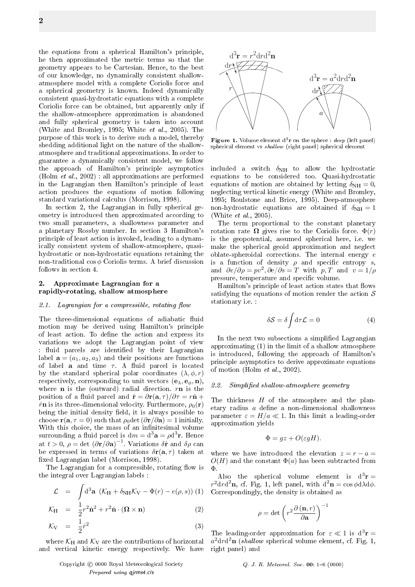the equations from a spherical Hamilton's principle, he then approximated the metric terms so that the geometry appears to be Cartesian. Hence, to the best of our knowledge, no dynamically consistent shallowatmosphere model with a complete Coriolis force and a spherical geometry is known. Indeed dynamically consistent quasi-hydrostatic equations with a complete Coriolis force can be obtained, but apparently only if the shallow-atmosphere approximation is abandoned and fully spherical geometry is taken into account (White and Bromley, 1995; White et al., 2005). The purpose of this work is to derive such a model, thereby shedding additional light on the nature of the shallowatmosphere and traditional approximations. In order to guarantee a dynamically consistent model, we follow the approach of Hamilton's principle asymptotics (Holm et al., 2002) : all approximations are performed in the Lagrangian then Hamilton's principle of least action produces the equations of motion following standard variational calculus (Morrison, 1998).

In section 2, the Lagrangian in fully spherical geometry is introduced then approximated according to two small parameters, a shallowness parameter and a planetary Rossby number. In section 3 Hamilton's principle of least action is invoked, leading to a dynamically consistent system of shallow-atmosphere, quasihydrostatic or non-hydrostatic equations retaining the non-traditional  $\cos \phi$  Coriolis terms. A brief discussion follows in section 4.

## 2. Approximate Lagrangian for a rapidly-rotating, shallow atmosphere

#### 2.1. Lagrangian for a compressible, rotating flow

The three-dimensional equations of adiabatic fluid motion may be derived using Hamilton's principle of least action. To define the action and express its variations we adopt the Lagrangian point of view : fluid parcels are identified by their Lagrangian label  $\mathbf{a} = (a_1, a_2, a_3)$  and their positions are functions of label **a** and time  $\tau$ . A fluid parcel is located by the standard spherical polar coordinates  $(\lambda, \phi, r)$ respectively, corresponding to unit vectors  $(e_{\lambda}, e_{\phi}, n)$ , where **n** is the (outward) radial direction.  $r\mathbf{n}$  is the position of a fluid parcel and  $\dot{\mathbf{r}} = \partial \mathbf{r}(\mathbf{a}, \tau)/\partial \tau = r\dot{\mathbf{n}} +$  $\dot{r}$ n is its three-dimensional velocity. Furthermore,  $\rho_0(\mathbf{r})$ being the initial density field, it is always possible to choose  $\mathbf{r}(\mathbf{a}, \tau = 0)$  such that  $\rho_0$ det  $(\partial \mathbf{r}/\partial \mathbf{a}) = 1$  initially. With this choice, the mass of an infinitesimal volume surrounding a fluid parcel is d $m = \text{d}^3\mathbf{a} = \rho \text{d}^3\mathbf{r}$ . Hence at  $t > 0$ ,  $\rho = \det (\partial \mathbf{r}/\partial \mathbf{a})^{-1}$ . Variations  $\delta \dot{\mathbf{r}}$  and  $\delta \rho$  can be expressed in terms of variations  $\delta r(\mathbf{a}, \tau)$  taken at xed Lagrangian label (Morrison, 1998).

The Lagrangian for a compressible, rotating flow is the integral over Lagrangian labels :

$$
\mathcal{L} = \int d^3 \mathbf{a} \left( \mathcal{K}_H + \delta_{NH} \mathcal{K}_V - \Phi(r) - e(\rho, s) \right) (1)
$$
  

$$
\mathcal{K}_H = \frac{1}{2} r^2 \dot{\mathbf{n}}^2 + r^2 \dot{\mathbf{n}} \cdot (\mathbf{\Omega} \times \mathbf{n})
$$
 (2)

$$
\mathcal{K}_V = \frac{1}{2} \dot{r}^2 \tag{3}
$$

where  $\mathcal{K}_{H}$  and  $\mathcal{K}_{V}$  are the contributions of horizontal and vertical kinetic energy respectively. We have





spherical element vs shallow (right panel) spherical element **Figure 1.** Volume element  $d^3r$  on the sphere : deep (left panel)

non-hydrostatic equations are obtained if  $\delta_{\text{NH}} = 1$ equations to be considered too. Quasi-hydrostatic negrecting vertical kinetic energy (white and Bronney,<br>1995; Roulstone and Brice, 1995). Deep-atmosphere included a switch  $\delta_{NH}$  to allow the hydrostatic equations of motion are obtained by letting  $\delta_{NH} = 0$ , neglecting vertical kinetic energy (White and Bromley, (White et al., 2005).

and  $\partial e/\partial \rho = pv^2, \partial e/\partial s = T$  with  $p, T$  and  $v = 1/\rho$ rotation rate  $\boldsymbol{\Omega}$  gives rise to the Coriolis force.  $\Phi(r)$ make the spherical geoid approximation and neglect The term proportional to the constant planetary is the geopotential, assumed spherical here, i.e. we oblate-spheroidal corrections. The internal energy  $e$ is a function of density  $\rho$  and specific entropy  $s$ , pressure, temperature and specific volume.

Hamilton's principle of least action states that flows satisfying the equations of motion render the action  $S$ stationary i.e. :

$$
\delta S = \delta \int d\tau \mathcal{L} = 0 \tag{4}
$$

In the next two subsections a simplified Lagrangian approximating (1) in the limit of a shallow atmosphere is introduced, following the approach of Hamilton's principle asymptotics to derive approximate equations of motion (Holm et al., 2002).

#### 2.2. Simplified shallow-atmosphere geometry

The thickness  $H$  of the atmosphere and the planetary radius  $a$  define a non-dimensional shallowness parameter  $\varepsilon = H/a \ll 1$ . In this limit a leading-order approximation yields

$$
\Phi = gz + O(\varepsilon gH).
$$

where we have introduced the elevation  $z = r - a =$  $O(H)$  and the constant  $\Phi(a)$  has been subtracted from Φ.

Also the spherical volume element is  $d^3r =$  $r^2 dr d^2 \mathbf{n}$ , cf. Fig. 1, left panel, with  $d^2 \mathbf{n} = \cos \phi d\lambda d\phi$ . Correspondingly, the density is obtained as

$$
\rho = \det \left( r^2 \frac{\partial (\mathbf{n}, r)}{\partial \mathbf{a}} \right)^{-1}
$$

The leading-order approximation for  $\varepsilon \ll 1$  is  $d^3r =$  $a^2 dr d^2{\bf n}$  (shallow spherical volume element, cf. Fig. 1, right panel) and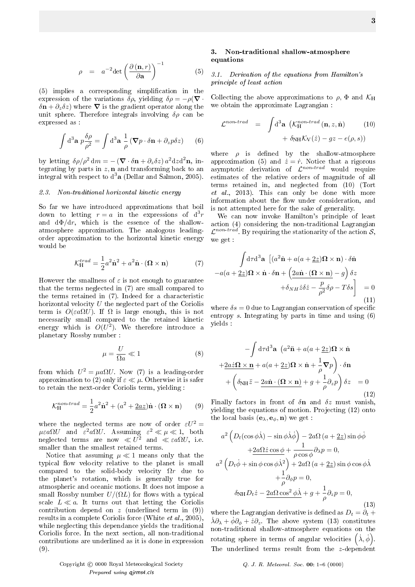$$
\rho = a^{-2} \det \left( \frac{\partial (\mathbf{n}, r)}{\partial \mathbf{a}} \right)^{-1} \tag{5}
$$

(5) implies a corresponding simplication in the expression of the variations  $\delta \rho$ , yielding  $\delta \rho = -\rho(\nabla \cdot$  $\delta \mathbf{n} + \partial_z \delta z$ ) where  $\nabla$  is the gradient operator along the unit sphere. Therefore integrals involving  $\delta \rho$  can be expressed as :

$$
\int d^3 \mathbf{a} \ p \frac{\delta \rho}{\rho^2} = \int d^3 \mathbf{a} \ \frac{1}{\rho} \left( \mathbf{\nabla} p \cdot \delta \mathbf{n} + \partial_z p \delta z \right) \tag{6}
$$

by letting  $\delta \rho / \rho^2 dm = -(\nabla \cdot \delta \mathbf{n} + \partial_z \delta z) a^2 dz d^2 \mathbf{n}$ , integrating by parts in  $z$ , **n** and transforming back to an integral with respect to  $d^3$ a (Dellar and Salmon, 2005).

#### 2.3. Non-traditional horizontal kinetic energy

So far we have introduced approximations that boil down to letting  $r = a$  in the expressions of  $d^3r$ and  $d\Phi/dr$ , which is the essence of the shallowatmosphere approximation. The analogous leadingorder approximation to the horizontal kinetic energy would be

$$
\mathcal{K}_{\rm H}^{trad} = \frac{1}{2} a^2 \dot{\mathbf{n}}^2 + a^2 \dot{\mathbf{n}} \cdot (\mathbf{\Omega} \times \mathbf{n}) \tag{7}
$$

However the smallness of  $\varepsilon$  is not enough to guarantee that the terms neglected in (7) are small compared to the terms retained in (7). Indeed for a characteristic horizontal velocity  $U$  the neglected part of the Coriolis term is  $O(\varepsilon a \Omega U)$ . If  $\Omega$  is large enough, this is not necessarily small compared to the retained kinetic energy which is  $O(U^2)$ . We therefore introduce a planetary Rossby number :

$$
\mu = \frac{U}{\Omega a} \ll 1\tag{8}
$$

from which  $U^2 = \mu a \Omega U$ . Now (7) is a leading-order approximation to (2) only if  $\varepsilon \ll \mu$ . Otherwise it is safer to retain the next-order Coriolis term, yielding :

$$
\mathcal{K}_{\rm H}^{non-trad} = \frac{1}{2}a^2\dot{\mathbf{n}}^2 + (a^2 + 2az)\dot{\mathbf{n}} \cdot (\mathbf{\Omega} \times \mathbf{n}) \qquad (9)
$$

where the neglected terms are now of order  $\varepsilon U^2 =$  $\mu \varepsilon a \Omega U$  and  $\varepsilon^2 a \Omega U$ . Assuming  $\varepsilon^2 \ll \mu \ll 1$ , both neglected terms are now  $\ll U^2$  and  $\ll \varepsilon a \Omega U$ , i.e. smaller than the smallest retained terms.

Notice that assuming  $\mu \ll 1$  means only that the typical flow velocity relative to the planet is small compared to the solid-body velocity  $\Omega r$  due to the planet's rotation, which is generally true for atmospheric and oceanic motions. It does not impose a small Rossby number  $U/(\Omega L)$  for flows with a typical scale  $L \ll a$ . It turns out that letting the Coriolis contribution depend on  $z$  (underlined term in  $(9)$ ) results in a complete Coriolis force (White et al., 2005), while neglecting this dependance yields the traditional Coriolis force. In the next section, all non-traditional contributions are underlined as it is done in expression (9).

## 3. Non-traditional shallow-atmosphere equations

# 3.1. Derivation of the equations from Hamilton's principle of least action

Collecting the above approximations to  $\rho$ ,  $\Phi$  and  $\mathcal{K}_{\text{H}}$ we obtain the approximate Lagrangian :

$$
\mathcal{L}^{non-trad} = \int d^3 \mathbf{a} \left( \mathcal{K}_{H}^{non-trad} \left( \mathbf{n}, z, \dot{\mathbf{n}} \right) \right) + \delta_{NH} \mathcal{K}_{V}(\dot{z}) - gz - e(\rho, s))
$$
(10)

where  $\rho$  is defined by the shallow-atmosphere approximation (5) and  $\dot{z} = \dot{r}$ . Notice that a rigorous asymptotic derivation of  $\mathcal{L}^{non-trad}$  would require estimates of the relative orders of magnitude of all terms retained in, and neglected from (10) (Tort et al., 2013). This can only be done with more information about the flow under consideration, and is not attempted here for the sake of generality.

We can now invoke Hamilton's principle of least action (4) considering the non-traditional Lagrangian  $\mathcal{L}^{non-trad}$ . By requiring the stationarity of the action  $\mathcal{S},$ we get :

$$
\int d\tau d^3 \mathbf{a} \left[ (a^2 \dot{\mathbf{n}} + a(a + \underline{2z}) \mathbf{\Omega} \times \mathbf{n}) \cdot \delta \dot{\mathbf{n}} \right]
$$

$$
-a(a + \underline{2z}) \mathbf{\Omega} \times \dot{\mathbf{n}} \cdot \delta \mathbf{n} + \left( \underline{2a} \dot{\mathbf{n}} \cdot (\mathbf{\Omega} \times \mathbf{n}) - g \right) \delta z
$$

$$
+ \delta_{NH} \dot{z} \delta \dot{z} - \frac{p}{\rho^2} \delta \rho - T \delta s \right] = 0
$$
(11)

where  $\delta s = 0$  due to Lagrangian conservation of specific entropy s. Integrating by parts in time and using (6) yields :

$$
-\int d\tau d^{3}\mathbf{a} \left(a^{2}\ddot{\mathbf{n}} + a(a + \underline{2z})\mathbf{\Omega} \times \dot{\mathbf{n}}\right)
$$

$$
+ \underline{2a}\dot{z}\mathbf{\Omega} \times \mathbf{n} + a(a + \underline{2z})\mathbf{\Omega} \times \dot{\mathbf{n}} + \frac{1}{\rho}\nabla p\right) \cdot \delta \mathbf{n}
$$

$$
+ \left(\delta_{\text{NH}}\ddot{z} - \underline{2a\dot{\mathbf{n}}}\cdot(\mathbf{\Omega}\times\mathbf{n}) + g + \frac{1}{\rho}\partial_{z}p\right)\delta z = 0
$$
(12)

Finally factors in front of  $\delta n$  and  $\delta z$  must vanish, yielding the equations of motion. Projecting (12) onto the local basis  $(\mathbf{e}_{\lambda}, \mathbf{e}_{\phi}, \mathbf{n})$  we get :

$$
a^{2} \left(D_{t}(\cos\phi\lambda) - \sin\phi\lambda\dot{\phi}\right) - 2a\Omega\left(a + \underline{2z}\right)\sin\phi\dot{\phi}
$$

$$
+ \underline{2a\Omega\dot{z}}\cos\phi + \frac{1}{\rho\cos\phi}\partial_{\lambda}p = 0,
$$

$$
a^{2} \left(D_{t}\dot{\phi} + \sin\phi\cos\phi\dot{\lambda}^{2}\right) + 2a\Omega\left(a + \underline{2z}\right)\sin\phi\cos\phi\dot{\lambda}
$$

$$
+ \frac{1}{\rho}\partial_{\phi}p = 0,
$$

$$
\delta_{\rm NH}D_{t}\dot{z} - \underline{2a\Omega\cos^{2}\phi\dot{\lambda}} + g + \frac{1}{\rho}\partial_{z}p = 0,
$$
(13)

where the Lagrangian derivative is defined as  $D_t = \partial_t +$  $\dot{\lambda}\partial_{\lambda} + \dot{\phi}\partial_{\phi} + \dot{z}\partial_{z}$ . The above system (13) constitutes non-traditional shallow-atmosphere equations on the rotating sphere in terms of angular velocities  $(\dot{\lambda}, \dot{\phi})$ . The underlined terms result from the z-dependent

Copyright c 0000 Royal Meteorological Society Q. J. R. Meteorol. Soc. 00: 16 (0000) Prepared using qjrms4.cls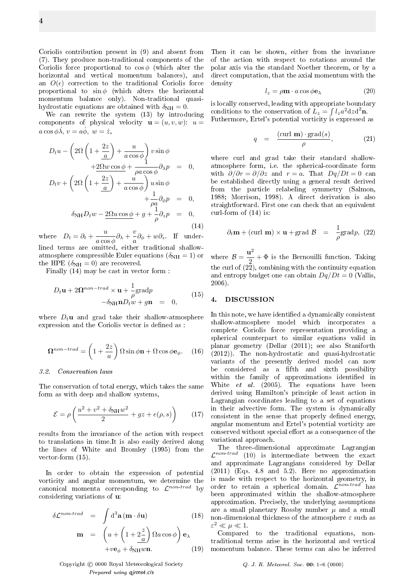Coriolis contribution present in (9) and absent from (7). They produce non-traditional components of the Coriolis force proportional to  $\cos \phi$  (which alter the horizontal and vertical momentum balances), and an  $O(\epsilon)$  correction to the traditional Coriolis force proportional to  $\sin \phi$  (which alters the horizontal momentum balance only). Non-traditional quasihydrostatic equations are obtained with  $\delta_{NH} = 0$ .

We can rewrite the system (13) by introducing components of physical velocity  $\mathbf{u} = (u, v, w)$ :  $u =$  $a \cos \phi \lambda$ ,  $v = a\dot{\phi}$ ,  $w = \dot{z}$ ,

$$
D_t u - \left(2\Omega \left(1 + \frac{2z}{a}\right) + \frac{u}{a\cos\phi}\right) v \sin\phi
$$
  
+2\Omega w \cos\phi + \frac{1}{\rho a \cos\phi} \partial\_\lambda p = 0,  

$$
D_t v + \left(2\Omega \left(1 + \frac{2z}{a}\right) + \frac{u}{a\cos\phi}\right) u \sin\phi
$$
  
+
$$
\frac{1}{\rho a} \partial_\phi p = 0,
$$

$$
\delta_{\rm NH} D_t w - 2\Omega u \cos\phi + g + \frac{1}{\rho} \partial_z p = 0,
$$
(14)

where  $D_t = \partial_t + \frac{u}{\cos \theta}$  $\frac{u}{a\cos\phi}\partial_{\lambda}+\frac{v}{a}$  $\frac{\partial}{\partial a}\partial_{\phi} + w\partial_z$  If underlined terms are omitted, either traditional shallowatmosphere compressible Euler equations ( $\delta_{\text{NH}} = 1$ ) or the HPE  $(\delta_{NH} = 0)$  are recovered.

Finally (14) may be cast in vector form :

$$
D_t \mathbf{u} + 2\Omega^{non-trad} \times \mathbf{u} + \frac{1}{\rho} \text{grad} p
$$
  

$$
-\delta_{\text{NH}} \mathbf{n} D_t w + g \mathbf{n} = 0,
$$
 (15)

where  $D_t$ **u** and grad take their shallow-atmosphere expression and the Coriolis vector is defined as :

$$
\Omega^{non-trad} = \left(1 + \frac{2z}{a}\right) \Omega \sin \phi \mathbf{n} + \Omega \cos \phi \mathbf{e}_{\phi}.
$$
 (16)

#### 3.2. Conservation laws

The conservation of total energy, which takes the same form as with deep and shallow systems,

$$
\mathcal{E} = \rho \left( \frac{u^2 + v^2 + \delta_{\rm NH} w^2}{2} + gz + e(\rho, s) \right) \tag{17}
$$

results from the invariance of the action with respect to translations in time.It is also easily derived along the lines of White and Bromley (1995) from the vector-form (15).

In order to obtain the expression of potential vorticity and angular momentum, we determine the canonical momenta corresponding to  $\mathcal{L}^{non-trad}$  by considering variations of u:

$$
\delta \mathcal{L}^{non-trad} = \int d^3 \mathbf{a} (\mathbf{m} \cdot \delta \mathbf{u})
$$
(18)  

$$
\mathbf{m} = \left( u + \left( 1 + \frac{2}{a} \right) \Omega a \cos \phi \right) \mathbf{e}_{\lambda}
$$

$$
+ v \mathbf{e}_{\phi} + \delta_{\text{NH}} w \mathbf{n}.
$$
(19)

Copyright © 0000 Royal Meteorological Society  $Q. J. R. Meteorol. Soc.$  00: 1-6 (0000) Prepared using qjrms4.cls

Then it can be shown, either from the invariance of the action with respect to rotations around the polar axis via the standard Noether theorem, or by a direct computation, that the axial momentum with the density

$$
l_z = \rho \mathbf{m} \cdot a \cos \phi \mathbf{e}_{\lambda} \tag{20}
$$

is locally conserved, leading with appropriate boundary conditions to the conservation of  $L_z = \int l_z a^2 dz d^2 \mathbf{n}$ . Futhermore, Ertel's potential vorticity is expressed as

$$
q = \frac{(\text{curl } \mathbf{m}) \cdot \text{grad}(s)}{\rho}, \qquad (21)
$$

where curl and grad take their standard shallowatmosphere form, i.e. the spherical-coordinate form with  $\partial/\partial r = \partial/\partial z$  and  $r = a$ . That  $Dq/Dt = 0$  can be established directly using a general result derived from the particle relabeling symmetry (Salmon, 1988; Morrison, 1998). A direct derivation is also straightforward. First one can check that an equivalent curl-form of (14) is:

$$
\partial_t \mathbf{m} + (\text{curl } \mathbf{m}) \times \mathbf{u} + \text{grad } \mathcal{B} = \frac{1}{\rho} \text{grad} p, (22)
$$

where  $\mathcal{B} = \frac{\mathbf{u}^2}{2}$  $\frac{1}{2} + \Phi$  is the Bernouilli function. Taking the curl of  $(2\bar{2})$ , combining with the continuity equation and entropy budget one can obtain  $Dq/Dt = 0$  (Vallis, 2006).

#### 4. DISCUSSION

In this note, we have identified a dynamically consistent shallow-atmosphere model which incorporates a complete Coriolis force representation providing a spherical counterpart to similar equations valid in planar geometry (Dellar (2011); see also Staniforth (2012)). The non-hydrostatic and quasi-hydrostatic variants of the presently derived model can now be considered as a fifth and sixth possibility within the family of approximations identified in White *et al.* (2005). The equations have been derived using Hamilton's principle of least action in Lagrangian coordinates leading to a set of equations in their advective form. The system is dynamically consistent in the sense that properly defined energy, angular momentum and Ertel's potential vorticity are conserved without special effort as a consequence of the variational approach.

The three-dimensional approximate Lagrangian  $\mathcal{L}^{non-trad}$  (10) is intermediate between the exact and approximate Lagrangians considered by Dellar (2011) (Eqs. 4.8 and 5.2). Here no approximation is made with respect to the horizontal geometry, in order to retain a spherical domain.  $\mathcal{L}^{non-trad}$  has been approximated within the shallow-atmosphere approximation. Precisely, the underlying assumptions are a small planetary Rossby number  $\mu$  and a small non-dimensional thickness of the atmosphere  $\varepsilon$  such as  $\varepsilon^2 \ll \mu \ll 1.$ 

Compared to the traditional equations, nontraditional terms arise in the horizontal and vertical momentum balance. These terms can also be inferred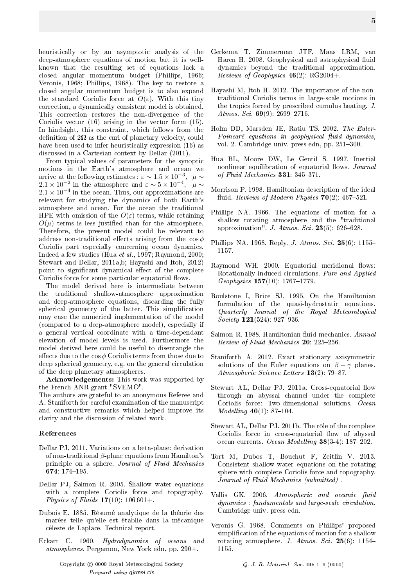heuristically or by an asymptotic analysis of the deep-atmosphere equations of motion but it is wellknown that the resulting set of equations lack a closed angular momentum budget (Phillips, 1966; Veronis, 1968; Phillips, 1968). The key to restore a closed angular momentum budget is to also expand the standard Coriolis force at  $O(\varepsilon)$ . With this tiny correction, a dynamically consistent model is obtained. This correction restores the non-divergence of the Coriolis vector (16) arising in the vector form (15). In hindsight, this constraint, which follows from the definition of  $2\Omega$  as the curl of planetary velocity, could have been used to infer heuristically expression (16) as discussed in a Cartesian context by Dellar (2011).

From typical values of parameters for the synoptic motions in the Earth's atmosphere and ocean we arrive at the following estimates :  $\varepsilon \sim 1.5 \times 10^{-3}, ~~ \mu \sim$  $2.1 \times 10^{-2}$  in the atmosphere and  $\varepsilon \sim 5 \times 10^{-4}$ ,  $\mu \sim$  $2.1 \times 10^{-4}$  in the ocean. Thus, our approximations are relevant for studying the dynamics of both Earth's atmosphere and ocean. For the ocean the traditional HPE with omission of the  $O(\varepsilon)$  terms, while retaining  $O(\mu)$  terms is less justified than for the atmosphere. Therefore, the present model could be relevant to address non-traditional effects arising from the  $\cos \phi$ Coriolis part especially concerning ocean dynamics. Indeed a few studies (Hua et al., 1997; Raymond, 2000; Stewart and Dellar, 2011a,b; Hayashi and Itoh, 2012) point to significant dynamical effect of the complete Coriolis force for some particular equatorial flows.

The model derived here is intermediate between the traditional shallow-atmosphere approximation and deep-atmosphere equations, discarding the fully spherical geometry of the latter. This simplication may ease the numerical implementation of the model (compared to a deep-atmosphere model), especially if a general vertical coordinate with a time-dependant elevation of model levels is used. Furthermore the model derived here could be useful to disentangle the effects due to the  $\cos \phi$  Coriolis terms from those due to deep spherical geometry, e.g. on the general circulation of the deep planetary atmospheres.

Acknowledgements: This work was supported by the French ANR grant "SVEMO".

The authors are grateful to an anonymous Referee and A. Staniforth for careful examination of the manuscript and constructive remarks which helped improve its clarity and the discussion of related work.

# References

- Dellar PJ. 2011. Variations on a beta-plane: derivation of non-traditional  $\beta$ -plane equations from Hamilton's principle on a sphere. Journal of Fluid Mechanics 674: 174-195.
- Dellar PJ, Salmon R. 2005. Shallow water equations with a complete Coriolis force and topography. Physics of Fluids  $17(10)$ :  $106\,601+$ .
- Dubois E. 1885. Résumé analytique de la théorie des marées telle qu'elle est établie dans la mécanique céleste de Laplace. Technical report.
- Eckart C. 1960. Hydrodynamics of oceans and atmospheres. Pergamon, New York edn, pp. 290+.
- Gerkema T, Zimmerman JTF, Maas LRM, van Haren H. 2008. Geophysical and astrophysical fluid dynamics beyond the traditional approximation. Reviews of Geophysics  $46(2)$ : RG2004+.
- Hayashi M, Itoh H. 2012. The importance of the nontraditional Coriolis terms in large-scale motions in the tropics forced by prescribed cumulus heating. J. Atmos. Sci.  $69(9)$ : 2699-2716.
- Holm DD, Marsden JE, Ratiu TS. 2002. The Euler- $Poincaré$  equations in geophysical fluid dynamics, vol. 2. Cambridge univ. press edn, pp. 251-300.
- Hua BL, Moore DW, Le Gentil S. 1997. Inertial nonlinear equilibration of equatorial flows. Journal of Fluid Mechanics  $331: 345-371$ .
- Morrison P. 1998. Hamiltonian description of the ideal fluid. Reviews of Modern Physics  $70(2)$ : 467-521.
- Phillips NA. 1966. The equations of motion for a shallow rotating atmosphere and the "traditional approximation". J. Atmos. Sci. 23(5): 626–628.
- Phillips NA. 1968. Reply. *J. Atmos. Sci.* 25(6): 1155– 1157.
- Raymond WH. 2000. Equatorial meridional flows: Rotationally induced circulations. Pure and Applied Geophysics  $157(10)$ : 1767-1779.
- Roulstone I, Brice SJ. 1995. On the Hamiltonian formulation of the quasi-hydrostatic equations. Quarterly Journal of the Royal Meteorological  $Society$  121(524): 927-936.
- Salmon R. 1988. Hamiltonian fluid mechanics. Annual Review of Fluid Mechanics  $20: 225-256$ .
- Staniforth A. 2012. Exact stationary axisymmetric solutions of the Euler equations on  $\beta - \gamma$  planes. Atmospheric Science Letters  $13(2)$ : 79–87.
- Stewart AL, Dellar PJ. 2011a. Cross-equatorial flow through an abyssal channel under the complete Coriolis force: Two-dimensional solutions. Ocean *Modelling*  $40(1): 87-104$ .
- Stewart AL, Dellar PJ. 2011b. The rôle of the complete Coriolis force in cross-equatorial flow of abyssal ocean currents. Ocean Modelling  $38(3-4): 187-202$ .
- Tort M, Dubos T, Bouchut F, Zeitlin V. 2013. Consistent shallow-water equations on the rotating sphere with complete Coriolis force and topography. Journal of Fluid Mechanics (submitted) .
- Vallis GK. 2006. Atmospheric and oceanic fluid dynamics : fundamentals and large-scale circulation. Cambridge univ. press edn.
- Veronis G. 1968. Comments on Phillips' proposed simplication of the equations of motion for a shallow rotating atmosphere. J. Atmos. Sci. 25(6): 1154– 1155.

5